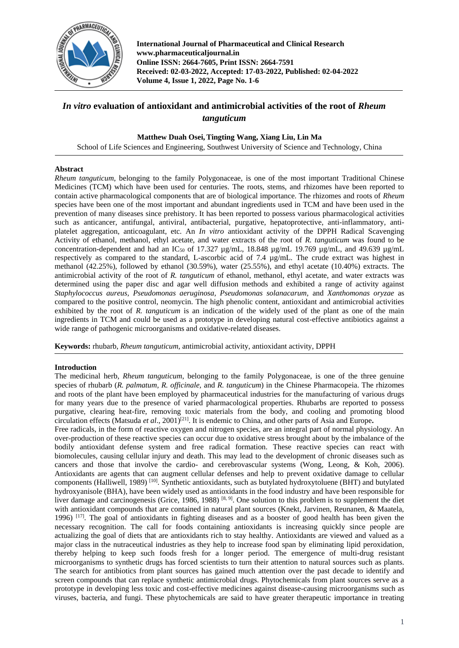

**International Journal of Pharmaceutical and Clinical Research www.pharmaceuticaljournal.in Online ISSN: 2664-7605, Print ISSN: 2664-7591 Received: 02-03-2022, Accepted: 17-03-2022, Published: 02-04-2022 Volume 4, Issue 1, 2022, Page No. 1-6**

# *In vitro* **evaluation of antioxidant and antimicrobial activities of the root of** *Rheum tanguticum*

**Matthew Duah Osei,Tingting Wang, Xiang Liu, Lin Ma**

School of Life Sciences and Engineering, Southwest University of Science and Technology, China

## **Abstract**

*Rheum tanguticum*, belonging to the family Polygonaceae, is one of the most important Traditional Chinese Medicines (TCM) which have been used for centuries. The roots, stems, and rhizomes have been reported to contain active pharmacological components that are of biological importance. The rhizomes and roots of *Rheum* species have been one of the most important and abundant ingredients used in TCM and have been used in the prevention of many diseases since prehistory. It has been reported to possess various pharmacological activities such as anticancer, antifungal, antiviral, antibacterial, purgative, hepatoprotective, anti-inflammatory, antiplatelet aggregation, anticoagulant, etc. An *In vitro* antioxidant activity of the DPPH Radical Scavenging Activity of ethanol, methanol, ethyl acetate, and water extracts of the root of *R. tanguticum* was found to be concentration-dependent and had an IC<sub>50</sub> of 17.327  $\mu$ g/mL, 18.848  $\mu$ g/mL 19.769  $\mu$ g/mL, and 49.639  $\mu$ g/mL respectively as compared to the standard, L-ascorbic acid of 7.4 µg/mL. The crude extract was highest in methanol (42.25%), followed by ethanol (30.59%), water (25.55%), and ethyl acetate (10.40%) extracts. The antimicrobial activity of the root of *R. tanguticum* of ethanol, methanol, ethyl acetate, and water extracts was determined using the paper disc and agar well diffusion methods and exhibited a range of activity against *Staphylococcus aureus, Pseudomonas aeruginosa, Pseudomonas solanacarum,* and *Xanthomonas oryzae* as compared to the positive control, neomycin. The high phenolic content, antioxidant and antimicrobial activities exhibited by the root of *R. tanguticum* is an indication of the widely used of the plant as one of the main ingredients in TCM and could be used as a prototype in developing natural cost-effective antibiotics against a wide range of pathogenic microorganisms and oxidative-related diseases.

**Keywords:** rhubarb, *Rheum tanguticum*, antimicrobial activity, antioxidant activity, DPPH

# **Introduction**

The medicinal herb, *Rheum tanguticum*, belonging to the family Polygonaceae, is one of the three genuine species of rhubarb (*R. palmatum, R. officinale,* and *R. tanguticum*) in the Chinese Pharmacopeia. The rhizomes and roots of the plant have been employed by pharmaceutical industries for the manufacturing of various drugs for many years due to the presence of varied pharmacological properties. Rhubarbs are reported to possess purgative, clearing heat-fire, removing toxic materials from the body, and cooling and promoting blood circulation effects (Matsuda *et al.*, 2001)<sup>[21]</sup>. It is endemic to China, and other parts of Asia and Europe.

Free radicals, in the form of reactive oxygen and nitrogen species, are an integral part of normal physiology. An over-production of these reactive species can occur due to oxidative stress brought about by the imbalance of the bodily antioxidant defense system and free radical formation. These reactive species can react with biomolecules, causing cellular injury and death. This may lead to the development of chronic diseases such as cancers and those that involve the cardio- and cerebrovascular systems (Wong, Leong, & Koh, 2006). Antioxidants are agents that can augment cellular defenses and help to prevent oxidative damage to cellular components (Halliwell, 1989)<sup>[10]</sup>. Synthetic antioxidants, such as butylated hydroxytoluene (BHT) and butylated hydroxyanisole (BHA), have been widely used as antioxidants in the food industry and have been responsible for liver damage and carcinogenesis (Grice, 1986, 1988)  $[8, 9]$ . One solution to this problem is to supplement the diet with antioxidant compounds that are contained in natural plant sources (Knekt, Jarvinen, Reunanen, & Maatela, 1996)  $[17]$ . The goal of antioxidants in fighting diseases and as a booster of good health has been given the necessary recognition. The call for foods containing antioxidants is increasing quickly since people are actualizing the goal of diets that are antioxidants rich to stay healthy. Antioxidants are viewed and valued as a major class in the nutraceutical industries as they help to increase food span by eliminating lipid peroxidation, thereby helping to keep such foods fresh for a longer period. The emergence of multi-drug resistant microorganisms to synthetic drugs has forced scientists to turn their attention to natural sources such as plants. The search for antibiotics from plant sources has gained much attention over the past decade to identify and screen compounds that can replace synthetic antimicrobial drugs. Phytochemicals from plant sources serve as a prototype in developing less toxic and cost-effective medicines against disease-causing microorganisms such as viruses, bacteria, and fungi. These phytochemicals are said to have greater therapeutic importance in treating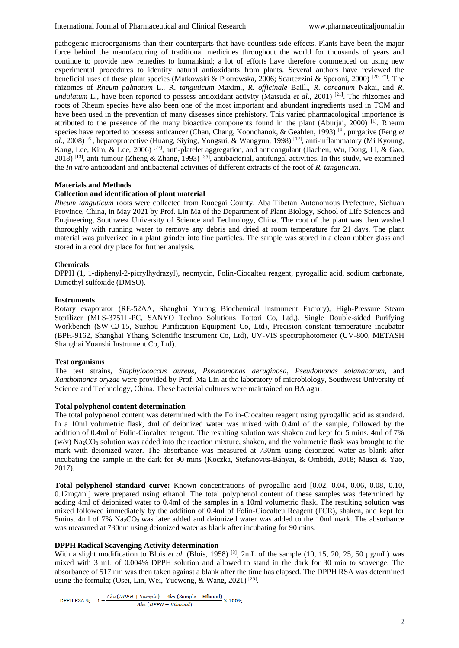pathogenic microorganisms than their counterparts that have countless side effects. Plants have been the major force behind the manufacturing of traditional medicines throughout the world for thousands of years and continue to provide new remedies to humankind; a lot of efforts have therefore commenced on using new experimental procedures to identify natural antioxidants from plants. Several authors have reviewed the beneficial uses of these plant species (Matkowski & Piotrowska, 2006; Scartezzini & Speroni, 2000) [20, 27]. The rhizomes of *Rheum palmatum* L., R. *tanguticum* Maxim., *R. officinale* Baill., *R. coreanum* Nakai, and *R. undulatum* L., have been reported to possess antioxidant activity (Matsuda *et al*., 2001) [21]. The rhizomes and roots of Rheum species have also been one of the most important and abundant ingredients used in TCM and have been used in the prevention of many diseases since prehistory. This varied pharmacological importance is attributed to the presence of the many bioactive components found in the plant (Aburjai, 2000)<sup>[1]</sup>. Rheum species have reported to possess anticancer (Chan, Chang, Koonchanok, & Geahlen, 1993) [4], purgative (Feng *et al*., 2008) [6], hepatoprotective (Huang, Siying, Yongsui, & Wangyun, 1998) [12], anti-inflammatory (Mi Kyoung, Kang, Lee, Kim, & Lee, 2006) [23], anti-platelet aggregation, and anticoagulant (Jiachen, Wu, Dong, Li, & Gao, 2018) [13], anti-tumour (Zheng & Zhang, 1993) [35], antibacterial, antifungal activities. In this study, we examined the *In vitro* antioxidant and antibacterial activities of different extracts of the root of *R. tanguticum*.

## **Materials and Methods**

## **Collection and identification of plant material**

*Rheum tanguticum* roots were collected from Ruoegai County, Aba Tibetan Autonomous Prefecture, Sichuan Province, China, in May 2021 by Prof. Lin Ma of the Department of Plant Biology, School of Life Sciences and Engineering, Southwest University of Science and Technology, China. The root of the plant was then washed thoroughly with running water to remove any debris and dried at room temperature for 21 days. The plant material was pulverized in a plant grinder into fine particles. The sample was stored in a clean rubber glass and stored in a cool dry place for further analysis.

## **Chemicals**

DPPH (1, 1-diphenyl-2-picrylhydrazyl), neomycin, Folin-Ciocalteu reagent, pyrogallic acid, sodium carbonate, Dimethyl sulfoxide (DMSO).

#### **Instruments**

Rotary evaporator (RE-52AA, Shanghai Yarong Biochemical Instrument Factory), High-Pressure Steam Sterilizer (MLS-3751L-PC, SANYO Techno Solutions Tottori Co, Ltd,). Single Double-sided Purifying Workbench (SW-CJ-15, Suzhou Purification Equipment Co, Ltd), Precision constant temperature incubator (BPH-9162, Shanghai Yihang Scientific instrument Co, Ltd), UV-VIS spectrophotometer (UV-800, METASH Shanghai Yuanshi Instrument Co, Ltd).

## **Test organisms**

The test strains*, Staphylococcus aureus, Pseudomonas aeruginosa, Pseudomonas solanacarum,* and *Xanthomonas oryzae* were provided by Prof. Ma Lin at the laboratory of microbiology, Southwest University of Science and Technology, China. These bacterial cultures were maintained on BA agar.

## **Total polyphenol content determination**

The total polyphenol content was determined with the Folin-Ciocalteu reagent using pyrogallic acid as standard. In a 10ml volumetric flask, 4ml of deionized water was mixed with 0.4ml of the sample, followed by the addition of 0.4ml of Folin-Ciocalteu reagent. The resulting solution was shaken and kept for 5 mins. 4ml of 7%  $(w/v)$  Na<sub>2</sub>CO<sub>3</sub> solution was added into the reaction mixture, shaken, and the volumetric flask was brought to the mark with deionized water. The absorbance was measured at 730nm using deionized water as blank after incubating the sample in the dark for 90 mins (Koczka, Stefanovits-Bányai, & Ombódi, 2018; Musci & Yao, 2017).

**Total polyphenol standard curve:** Known concentrations of pyrogallic acid [0.02, 0.04, 0.06, 0.08, 0.10, 0.12mg/ml] were prepared using ethanol. The total polyphenol content of these samples was determined by adding 4ml of deionized water to 0.4ml of the samples in a 10ml volumetric flask. The resulting solution was mixed followed immediately by the addition of 0.4ml of Folin-Ciocalteu Reagent (FCR), shaken, and kept for 5mins. 4ml of 7%  $Na<sub>2</sub>CO<sub>3</sub>$  was later added and deionized water was added to the 10ml mark. The absorbance was measured at 730nm using deionized water as blank after incubating for 90 mins.

## **DPPH Radical Scavenging Activity determination**

With a slight modification to Blois *et al.* (Blois, 1958) <sup>[3]</sup>, 2mL of the sample (10, 15, 20, 25, 50 µg/mL) was mixed with 3 mL of 0.004% DPPH solution and allowed to stand in the dark for 30 min to scavenge. The absorbance of 517 nm was then taken against a blank after the time has elapsed. The DPPH RSA was determined using the formula; (Osei, Lin, Wei, Yueweng, & Wang, 2021)<sup>[25]</sup>.

DPPH RSA % =  $1 - \frac{Abs(DPPH + Sample) - Abs(Sample + Ethanol)}{Abs(DPPH + Ethanol)} \times 100\%$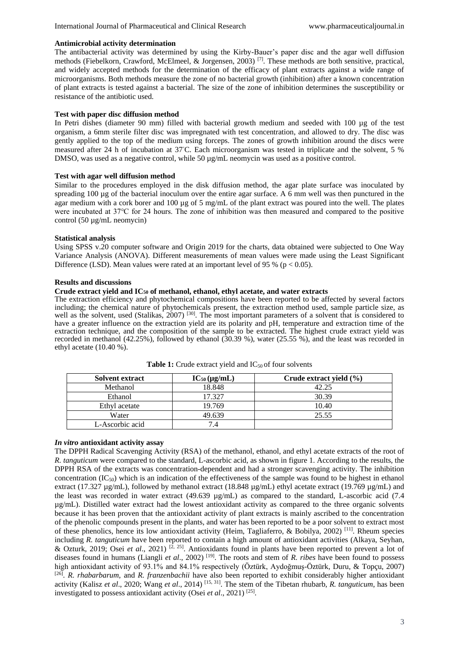## **Antimicrobial activity determination**

The antibacterial activity was determined by using the Kirby-Bauer's paper disc and the agar well diffusion methods (Fiebelkorn, Crawford, McElmeel, & Jorgensen, 2003) [7]. These methods are both sensitive, practical, and widely accepted methods for the determination of the efficacy of plant extracts against a wide range of microorganisms. Both methods measure the zone of no bacterial growth (inhibition) after a known concentration of plant extracts is tested against a bacterial. The size of the zone of inhibition determines the susceptibility or resistance of the antibiotic used.

## **Test with paper disc diffusion method**

In Petri dishes (diameter 90 mm) filled with bacterial growth medium and seeded with 100 µg of the test organism, a 6mm sterile filter disc was impregnated with test concentration, and allowed to dry. The disc was gently applied to the top of the medium using forceps. The zones of growth inhibition around the discs were measured after 24 h of incubation at 37◦C. Each microorganism was tested in triplicate and the solvent, 5 % DMSO, was used as a negative control, while 50  $\mu$ g/mL neomycin was used as a positive control.

## **Test with agar well diffusion method**

Similar to the procedures employed in the disk diffusion method, the agar plate surface was inoculated by spreading 100 µg of the bacterial inoculum over the entire agar surface. A 6 mm well was then punctured in the agar medium with a cork borer and 100 µg of 5 mg/mL of the plant extract was poured into the well. The plates were incubated at 37℃ for 24 hours. The zone of inhibition was then measured and compared to the positive control (50 µg/mL neomycin)

## **Statistical analysis**

Using SPSS v.20 computer software and Origin 2019 for the charts, data obtained were subjected to One Way Variance Analysis (ANOVA). Different measurements of mean values were made using the Least Significant Difference (LSD). Mean values were rated at an important level of 95 % ( $p < 0.05$ ).

## **Results and discussions**

# **Crude extract yield and IC<sup>50</sup> of methanol, ethanol, ethyl acetate, and water extracts**

The extraction efficiency and phytochemical compositions have been reported to be affected by several factors including; the chemical nature of phytochemicals present, the extraction method used, sample particle size, as well as the solvent, used (Stalikas, 2007)<sup>[30]</sup>. The most important parameters of a solvent that is considered to have a greater influence on the extraction yield are its polarity and pH, temperature and extraction time of the extraction technique, and the composition of the sample to be extracted. The highest crude extract yield was recorded in methanol (42.25%), followed by ethanol (30.39 %), water (25.55 %), and the least was recorded in ethyl acetate (10.40 %).

| <b>Solvent extract</b> | $IC_{50}(\mu g/mL)$ | Crude extract yield (%) |  |
|------------------------|---------------------|-------------------------|--|
| Methanol               | 18.848              | 42.25                   |  |
| Ethanol                | 17.327              | 30.39                   |  |
| Ethyl acetate          | 19.769              | 10.40                   |  |
| Water                  | 49.639              | 25.55                   |  |
| L-Ascorbic acid        | 7.4                 |                         |  |

**Table 1:** Crude extract yield and  $IC_{50}$  of four solvents

## *In vitro* **antioxidant activity assay**

The DPPH Radical Scavenging Activity (RSA) of the methanol, ethanol, and ethyl acetate extracts of the root of *R. tanguticum* were compared to the standard, L-ascorbic acid, as shown in figure 1. According to the results, the DPPH RSA of the extracts was concentration-dependent and had a stronger scavenging activity. The inhibition concentration  $(IC_{50})$  which is an indication of the effectiveness of the sample was found to be highest in ethanol extract (17.327 µg/mL), followed by methanol extract (18.848 µg/mL) ethyl acetate extract (19.769 µg/mL) and the least was recorded in water extract (49.639  $\mu$ g/mL) as compared to the standard, L-ascorbic acid (7.4 µg/mL). Distilled water extract had the lowest antioxidant activity as compared to the three organic solvents because it has been proven that the antioxidant activity of plant extracts is mainly ascribed to the concentration of the phenolic compounds present in the plants, and water has been reported to be a poor solvent to extract most of these phenolics, hence its low antioxidant activity (Heim, Tagliaferro, & Bobilya, 2002)<sup>[11]</sup>. Rheum species including *R. tanguticum* have been reported to contain a high amount of antioxidant activities (Alkaya, Seyhan, & Ozturk, 2019; Osei *et al*., 2021) [2, 25]. Antioxidants found in plants have been reported to prevent a lot of diseases found in humans (Liangli *et al.*, 2002)<sup>[19]</sup>. The roots and stem of *R. ribes* have been found to possess high antioxidant activity of 93.1% and 84.1% respectively (Öztürk, Aydoğmuş-Öztürk, Duru, & Topçu, 2007) [26] . *R. rhabarbarum,* and *R. franzenbachii* have also been reported to exhibit considerably higher antioxidant activity (Kalisz *et al*., 2020; Wang *et al*., 2014) [15, 31]. The stem of the Tibetan rhubarb, *R. tanguticum*, has been investigated to possess antioxidant activity (Osei *et al*., 2021) [25] .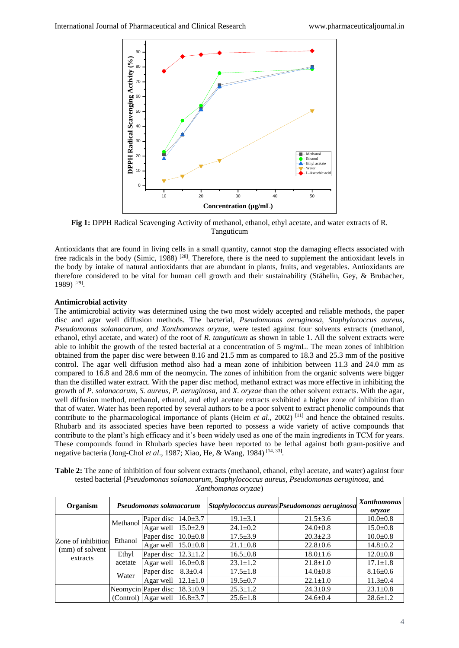

**Fig 1:** DPPH Radical Scavenging Activity of methanol, ethanol, ethyl acetate, and water extracts of R. Tanguticum

Antioxidants that are found in living cells in a small quantity, cannot stop the damaging effects associated with free radicals in the body (Simic, 1988) [28]. Therefore, there is the need to supplement the antioxidant levels in the body by intake of natural antioxidants that are abundant in plants, fruits, and vegetables. Antioxidants are therefore considered to be vital for human cell growth and their sustainability (Stähelin, Gey, & Brubacher, 1989) [29] .

# **Antimicrobial activity**

The antimicrobial activity was determined using the two most widely accepted and reliable methods, the paper disc and agar well diffusion methods. The bacterial, *Pseudomonas aeruginosa, Staphylococcus aureus, Pseudomonas solanacarum, and Xanthomonas oryzae*, were tested against four solvents extracts (methanol, ethanol, ethyl acetate, and water) of the root of *R*. *tanguticum* as shown in table 1. All the solvent extracts were able to inhibit the growth of the tested bacterial at a concentration of 5 mg/mL. The mean zones of inhibition obtained from the paper disc were between 8.16 and 21.5 mm as compared to 18.3 and 25.3 mm of the positive control. The agar well diffusion method also had a mean zone of inhibition between 11.3 and 24.0 mm as compared to 16.8 and 28.6 mm of the neomycin. The zones of inhibition from the organic solvents were bigger than the distilled water extract. With the paper disc method, methanol extract was more effective in inhibiting the growth of *P. solanacarum, S. aureus, P. aeruginosa,* and *X. oryzae* than the other solvent extracts. With the agar, well diffusion method, methanol, ethanol, and ethyl acetate extracts exhibited a higher zone of inhibition than that of water. Water has been reported by several authors to be a poor solvent to extract phenolic compounds that contribute to the pharmacological importance of plants (Heim *et al.*, 2002)<sup>[11]</sup> and hence the obtained results. Rhubarb and its associated species have been reported to possess a wide variety of active compounds that contribute to the plant's high efficacy and it's been widely used as one of the main ingredients in TCM for years. These compounds found in Rhubarb species have been reported to be lethal against both gram-positive and negative bacteria (Jong-Chol et al., 1987; Xiao, He, & Wang, 1984)<sup>[14, 33]</sup>.

**Table 2:** The zone of inhibition of four solvent extracts (methanol, ethanol, ethyl acetate, and water) against four tested bacterial (*Pseudomonas solanacarum, Staphylococcus aureus, Pseudomonas aeruginosa,* and *Xanthomonas oryzae*)

| <b>Organism</b>                                   | Pseudomonas solanacarum |                     |                |                | Staphylococcus aureus Pseudomonas aeruginosa | <b>Xanthomonas</b><br>oryzae |
|---------------------------------------------------|-------------------------|---------------------|----------------|----------------|----------------------------------------------|------------------------------|
| Zone of inhibition<br>(mm) of solvent<br>extracts | Methanol                | Paper disc          | $14.0 \pm 3.7$ | $19.1 \pm 3.1$ | $21.5 \pm 3.6$                               | $10.0 \pm 0.8$               |
|                                                   |                         | Agar well           | $15.0 \pm 2.9$ | $24.1 \pm 0.2$ | $24.0 \pm 0.8$                               | $15.0 \pm 0.8$               |
|                                                   | Ethanol                 | Paper disc          | $10.0 \pm 0.8$ | $17.5 \pm 3.9$ | $20.3 \pm 2.3$                               | $10.0 \pm 0.8$               |
|                                                   |                         | Agar well           | $15.0 \pm 0.8$ | $21.1 \pm 0.8$ | $22.8 \pm 0.6$                               | $14.8 \pm 0.2$               |
|                                                   | Ethyl                   | Paper disc          | $12.3 \pm 1.2$ | $16.5 \pm 0.8$ | $18.0 \pm 1.6$                               | $12.0 \pm 0.8$               |
|                                                   | acetate                 | Agar well           | $16.0 \pm 0.8$ | $23.1 \pm 1.2$ | $21.8 \pm 1.0$                               | $17.1 \pm 1.8$               |
|                                                   | Water                   | Paper disc          | $8.3 \pm 0.4$  | $17.5 \pm 1.8$ | $14.0 \pm 0.8$                               | $8.16 \pm 0.6$               |
|                                                   |                         | Agar well           | $12.1 \pm 1.0$ | $19.5 \pm 0.7$ | $22.1 \pm 1.0$                               | $11.3 \pm 0.4$               |
|                                                   |                         | Neomycin Paper disc | $18.3 \pm 0.9$ | $25.3 \pm 1.2$ | $24.3 \pm 0.9$                               | $23.1 \pm 0.8$               |
|                                                   |                         | (Control) Agar well | $16.8 \pm 3.7$ | $25.6 \pm 1.8$ | $24.6 \pm 0.4$                               | $28.6 \pm 1.2$               |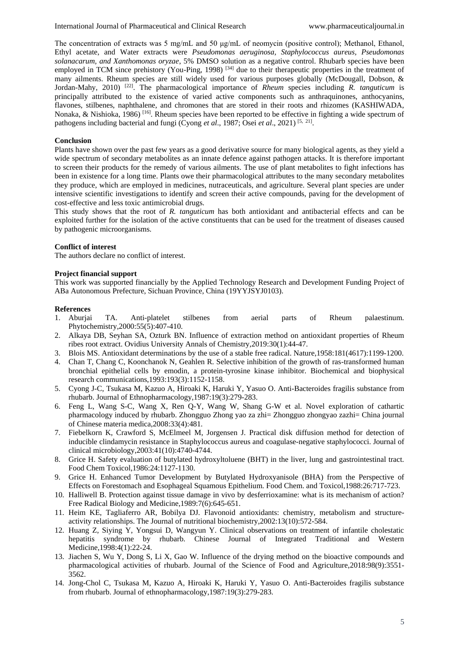The concentration of extracts was 5 mg/mL and 50 μg/mL of neomycin (positive control); Methanol, Ethanol, Ethyl acetate, and Water extracts were *Pseudomonas aeruginosa, Staphylococcus aureus, Pseudomonas solanacarum, and Xanthomonas oryzae*, 5% DMSO solution as a negative control. Rhubarb species have been employed in TCM since prehistory (You-Ping, 1998)<sup>[34]</sup> due to their therapeutic properties in the treatment of many ailments. Rheum species are still widely used for various purposes globally (McDougall, Dobson, & Jordan-Mahy, 2010) [22]. The pharmacological importance of *Rheum* species including *R. tanguticum* is principally attributed to the existence of varied active components such as anthraquinones, anthocyanins, flavones, stilbenes, naphthalene, and chromones that are stored in their roots and rhizomes (KASHIWADA, Nonaka, & Nishioka, 1986) [16]. Rheum species have been reported to be effective in fighting a wide spectrum of pathogens including bacterial and fungi (Cyong *et al.*, 1987; Osei *et al.*, 2021)<sup>[5, 21]</sup>.

## **Conclusion**

Plants have shown over the past few years as a good derivative source for many biological agents, as they yield a wide spectrum of secondary metabolites as an innate defence against pathogen attacks. It is therefore important to screen their products for the remedy of various ailments. The use of plant metabolites to fight infections has been in existence for a long time. Plants owe their pharmacological attributes to the many secondary metabolites they produce, which are employed in medicines, nutraceuticals, and agriculture. Several plant species are under intensive scientific investigations to identify and screen their active compounds, paving for the development of cost-effective and less toxic antimicrobial drugs.

This study shows that the root of *R. tanguticum* has both antioxidant and antibacterial effects and can be exploited further for the isolation of the active constituents that can be used for the treatment of diseases caused by pathogenic microorganisms.

## **Conflict of interest**

The authors declare no conflict of interest.

## **Project financial support**

This work was supported financially by the Applied Technology Research and Development Funding Project of ABa Autonomous Prefecture, Sichuan Province, China (19YYJSYJ0103).

## **References**

- 1. Aburjai TA. Anti-platelet stilbenes from aerial parts of Rheum palaestinum. Phytochemistry,2000:55(5):407-410.
- 2. Alkaya DB, Seyhan SA, Ozturk BN. Influence of extraction method on antioxidant properties of Rheum ribes root extract. Ovidius University Annals of Chemistry,2019:30(1):44-47.
- 3. Blois MS. Antioxidant determinations by the use of a stable free radical. Nature,1958:181(4617):1199-1200.
- 4. Chan T, Chang C, Koonchanok N, Geahlen R. Selective inhibition of the growth of ras-transformed human bronchial epithelial cells by emodin, a protein-tyrosine kinase inhibitor. Biochemical and biophysical research communications,1993:193(3):1152-1158.
- 5. Cyong J-C, Tsukasa M, Kazuo A, Hiroaki K, Haruki Y, Yasuo O. Anti-Bacteroides fragilis substance from rhubarb. Journal of Ethnopharmacology,1987:19(3):279-283.
- 6. Feng L, Wang S-C, Wang X, Ren Q-Y, Wang W, Shang G-W et al. Novel exploration of cathartic pharmacology induced by rhubarb. Zhongguo Zhong yao za zhi= Zhongguo zhongyao zazhi= China journal of Chinese materia medica,2008:33(4):481.
- 7. Fiebelkorn K, Crawford S, McElmeel M, Jorgensen J. Practical disk diffusion method for detection of inducible clindamycin resistance in Staphylococcus aureus and coagulase-negative staphylococci. Journal of clinical microbiology,2003:41(10):4740-4744.
- 8. Grice H. Safety evaluation of butylated hydroxyltoluene (BHT) in the liver, lung and gastrointestinal tract. Food Chem Toxicol,1986:24:1127-1130.
- 9. Grice H. Enhanced Tumor Development by Butylated Hydroxyanisole (BHA) from the Perspective of Effects on Forestomach and Esophageal Squamous Epithelium. Food Chem. and Toxicol,1988:26:717-723.
- 10. Halliwell B. Protection against tissue damage in vivo by desferrioxamine: what is its mechanism of action? Free Radical Biology and Medicine,1989:7(6):645-651.
- 11. Heim KE, Tagliaferro AR, Bobilya DJ. Flavonoid antioxidants: chemistry, metabolism and structureactivity relationships. The Journal of nutritional biochemistry,2002:13(10):572-584.
- 12. Huang Z, Siying Y, Yongsui D, Wangyun Y. Clinical observations on treatment of infantile cholestatic hepatitis syndrome by rhubarb. Chinese Journal of Integrated Traditional and Western Medicine,1998:4(1):22-24.
- 13. Jiachen S, Wu Y, Dong S, Li X, Gao W. Influence of the drying method on the bioactive compounds and pharmacological activities of rhubarb. Journal of the Science of Food and Agriculture,2018:98(9):3551- 3562.
- 14. Jong-Chol C, Tsukasa M, Kazuo A, Hiroaki K, Haruki Y, Yasuo O. Anti-Bacteroides fragilis substance from rhubarb. Journal of ethnopharmacology,1987:19(3):279-283.